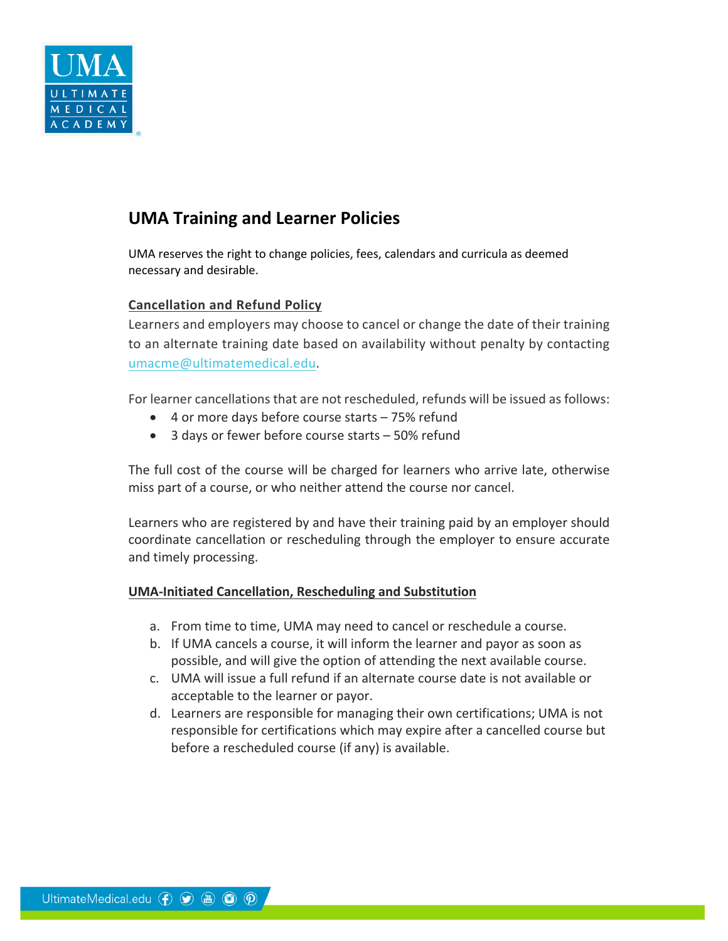

# **UMA Training and Learner Policies**

UMA reserves the right to change policies, fees, calendars and curricula as deemed necessary and desirable.

# **Cancellation and Refund Policy**

Learners and employers may choose to cancel or change the date of their training to an alternate training date based on availability without penalty by contacting umacme@ultimatemedical.edu.

For learner cancellations that are not rescheduled, refunds will be issued as follows:

- 4 or more days before course starts 75% refund
- 3 days or fewer before course starts 50% refund

The full cost of the course will be charged for learners who arrive late, otherwise miss part of a course, or who neither attend the course nor cancel.

Learners who are registered by and have their training paid by an employer should coordinate cancellation or rescheduling through the employer to ensure accurate and timely processing.

## **UMA-Initiated Cancellation, Rescheduling and Substitution**

- a. From time to time, UMA may need to cancel or reschedule a course.
- b. If UMA cancels a course, it will inform the learner and payor as soon as possible, and will give the option of attending the next available course.
- c. UMA will issue a full refund if an alternate course date is not available or acceptable to the learner or payor.
- d. Learners are responsible for managing their own certifications; UMA is not responsible for certifications which may expire after a cancelled course but before a rescheduled course (if any) is available.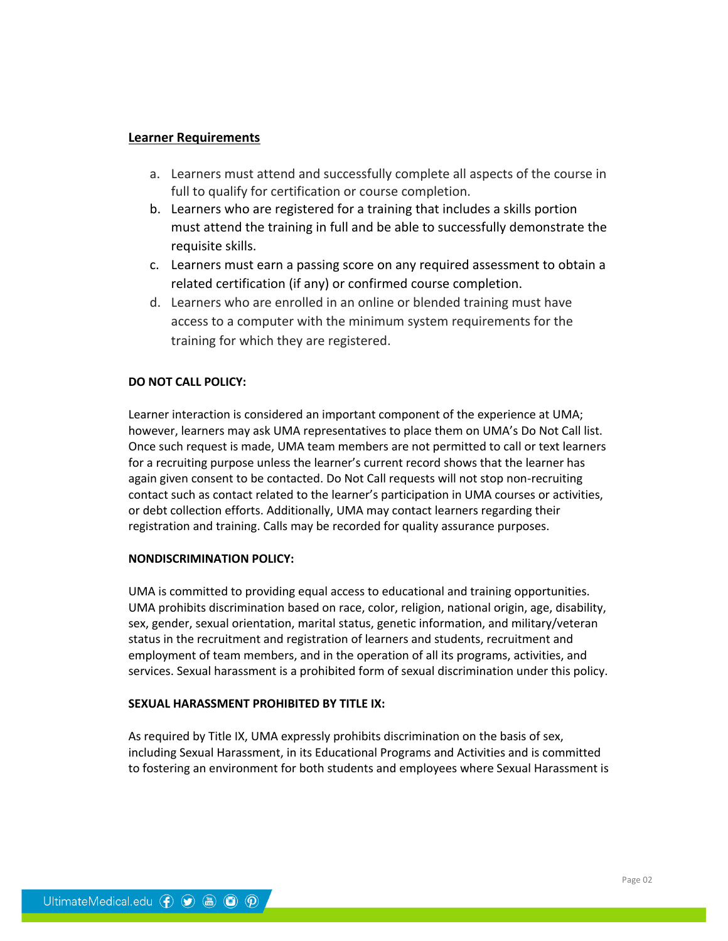## **Learner Requirements**

- a. Learners must attend and successfully complete all aspects of the course in full to qualify for certification or course completion.
- b. Learners who are registered for a training that includes a skills portion must attend the training in full and be able to successfully demonstrate the requisite skills.
- c. Learners must earn a passing score on any required assessment to obtain a related certification (if any) or confirmed course completion.
- d. Learners who are enrolled in an online or blended training must have access to a computer with the minimum system requirements for the training for which they are registered.

## **DO NOT CALL POLICY:**

Learner interaction is considered an important component of the experience at UMA; however, learners may ask UMA representatives to place them on UMA's Do Not Call list. Once such request is made, UMA team members are not permitted to call or text learners for a recruiting purpose unless the learner's current record shows that the learner has again given consent to be contacted. Do Not Call requests will not stop non-recruiting contact such as contact related to the learner's participation in UMA courses or activities, or debt collection efforts. Additionally, UMA may contact learners regarding their registration and training. Calls may be recorded for quality assurance purposes.

#### **NONDISCRIMINATION POLICY:**

UMA is committed to providing equal access to educational and training opportunities. UMA prohibits discrimination based on race, color, religion, national origin, age, disability, sex, gender, sexual orientation, marital status, genetic information, and military/veteran status in the recruitment and registration of learners and students, recruitment and employment of team members, and in the operation of all its programs, activities, and services. Sexual harassment is a prohibited form of sexual discrimination under this policy.

#### **SEXUAL HARASSMENT PROHIBITED BY TITLE IX:**

As required by Title IX, UMA expressly prohibits discrimination on the basis of sex, including Sexual Harassment, in its Educational Programs and Activities and is committed to fostering an environment for both students and employees where Sexual Harassment is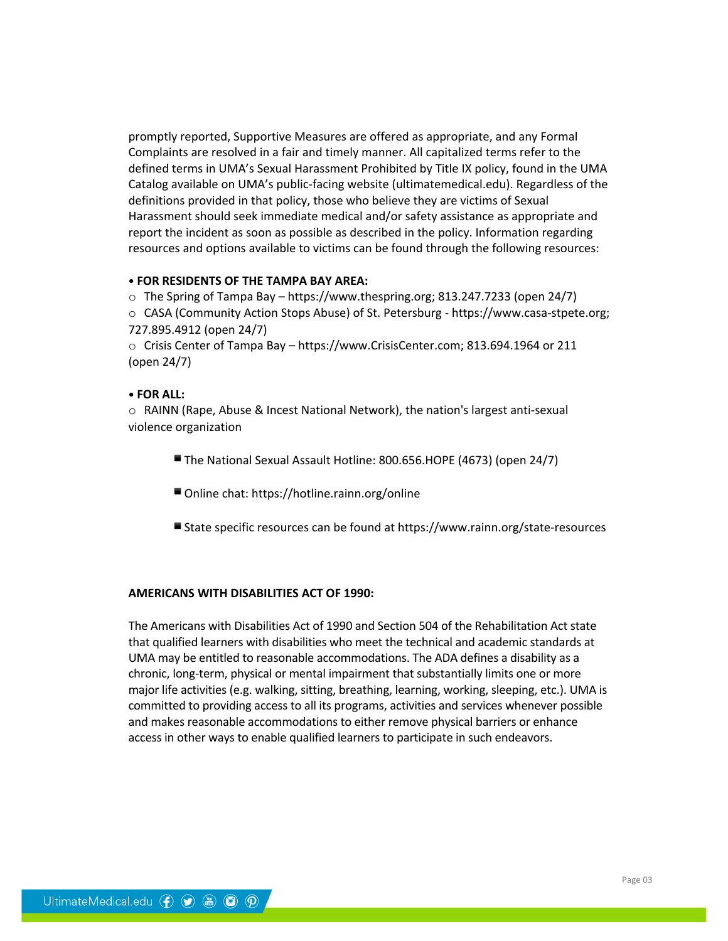promptly reported, Supportive Measures are offered as appropriate, and any Formal Complaints are resolved in a fair and timely manner. All capitalized terms refer to the defined terms in UMA's Sexual Harassment Prohibited by Title IX policy, found in the UMA Catalog available on UMA's public-facing website (ultimatemedical.edu). Regardless of the definitions provided in that policy, those who believe they are victims of Sexual Harassment should seek immediate medical and/or safety assistance as appropriate and report the incident as soon as possible as described in the policy. Information regarding resources and options available to victims can be found through the following resources:

#### **• FOR RESIDENTS OF THE TAMPA BAY AREA:**

o The Spring of Tampa Bay – https://www.thespring.org; 813.247.7233 (open 24/7) o CASA (Community Action Stops Abuse) of St. Petersburg - https://www.casa-stpete.org; 727.895.4912 (open 24/7)

o Crisis Center of Tampa Bay – https://www.CrisisCenter.com; 813.694.1964 or 211 (open 24/7)

#### **• FOR ALL:**

o RAINN (Rape, Abuse & Incest National Network), the nation's largest anti-sexual violence organization

- The National Sexual Assault Hotline: 800.656.HOPE (4673) (open 24/7)
- Online chat: https://hotline.rainn.org/online
- State specific resources can be found at https://www.rainn.org/state-resources

#### **AMERICANS WITH DISABILITIES ACT OF 1990:**

The Americans with Disabilities Act of 1990 and Section 504 of the Rehabilitation Act state that qualified learners with disabilities who meet the technical and academic standards at UMA may be entitled to reasonable accommodations. The ADA defines a disability as a chronic, long-term, physical or mental impairment that substantially limits one or more major life activities (e.g. walking, sitting, breathing, learning, working, sleeping, etc.). UMA is committed to providing access to all its programs, activities and services whenever possible and makes reasonable accommodations to either remove physical barriers or enhance access in other ways to enable qualified learners to participate in such endeavors.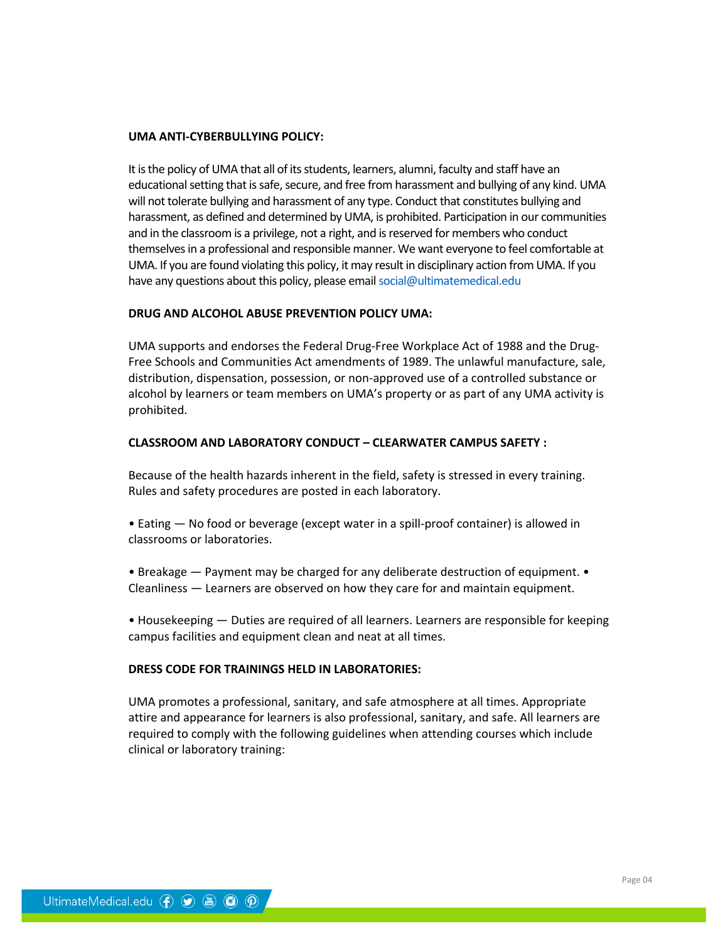#### **UMA ANTI-CYBERBULLYING POLICY:**

It is the policy of UMA that all of its students, learners, alumni, faculty and staff have an educational setting that is safe, secure, and free from harassment and bullying of any kind. UMA will not tolerate bullying and harassment of any type. Conduct that constitutes bullying and harassment, as defined and determined by UMA, is prohibited. Participation in our communities and in the classroom is a privilege, not a right, and is reserved for members who conduct themselves in a professional and responsible manner. We want everyone to feel comfortable at UMA. If you are found violating this policy, it may result in disciplinary action from UMA. If you have any questions about this policy, please email social@ultimatemedical.edu

#### **DRUG AND ALCOHOL ABUSE PREVENTION POLICY UMA:**

UMA supports and endorses the Federal Drug-Free Workplace Act of 1988 and the Drug-Free Schools and Communities Act amendments of 1989. The unlawful manufacture, sale, distribution, dispensation, possession, or non-approved use of a controlled substance or alcohol by learners or team members on UMA's property or as part of any UMA activity is prohibited.

#### **CLASSROOM AND LABORATORY CONDUCT – CLEARWATER CAMPUS SAFETY :**

Because of the health hazards inherent in the field, safety is stressed in every training. Rules and safety procedures are posted in each laboratory.

• Eating — No food or beverage (except water in a spill-proof container) is allowed in classrooms or laboratories.

• Breakage — Payment may be charged for any deliberate destruction of equipment. • Cleanliness — Learners are observed on how they care for and maintain equipment.

• Housekeeping — Duties are required of all learners. Learners are responsible for keeping campus facilities and equipment clean and neat at all times.

#### **DRESS CODE FOR TRAININGS HELD IN LABORATORIES:**

UMA promotes a professional, sanitary, and safe atmosphere at all times. Appropriate attire and appearance for learners is also professional, sanitary, and safe. All learners are required to comply with the following guidelines when attending courses which include clinical or laboratory training: